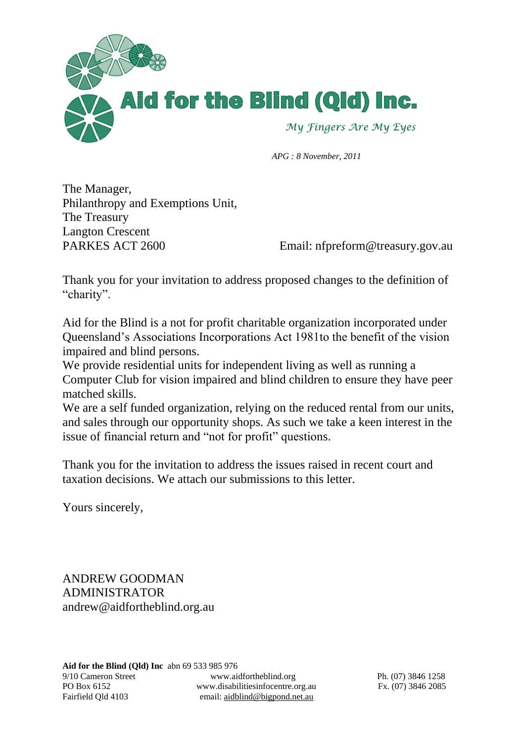

 *APG : 8 November, 2011*

The Manager, Philanthropy and Exemptions Unit, The Treasury Langton Crescent PARKES ACT 2600 Email: nfpreform@treasury.gov.au

Thank you for your invitation to address proposed changes to the definition of "charity".

Aid for the Blind is a not for profit charitable organization incorporated under Queensland's Associations Incorporations Act 1981to the benefit of the vision impaired and blind persons.

We provide residential units for independent living as well as running a Computer Club for vision impaired and blind children to ensure they have peer matched skills.

We are a self funded organization, relying on the reduced rental from our units, and sales through our opportunity shops. As such we take a keen interest in the issue of financial return and "not for profit" questions.

Thank you for the invitation to address the issues raised in recent court and taxation decisions. We attach our submissions to this letter.

Yours sincerely,

ANDREW GOODMAN ADMINISTRATOR andrew@aidfortheblind.org.au

**Aid for the Blind (Qld) Inc** abn 69 533 985 976 9/10 Cameron Street www.aidfortheblind.org Ph. (07) 3846 1258 PO Box 6152 www.disabilitiesinfocentre.org.au Fx. (07) 3846 2085 Fairfield Qld 4103 email: aidblind@bigpond.net.au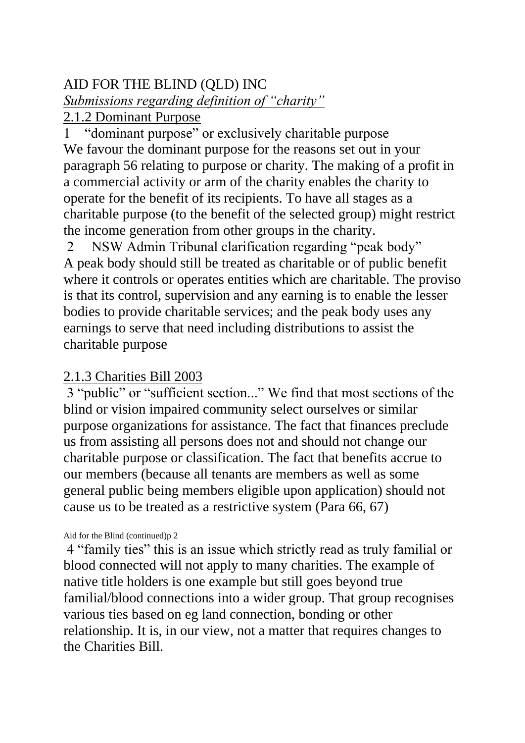# AID FOR THE BLIND (QLD) INC *Submissions regarding definition of "charity"*

# 2.1.2 Dominant Purpose

1 "dominant purpose" or exclusively charitable purpose We favour the dominant purpose for the reasons set out in your paragraph 56 relating to purpose or charity. The making of a profit in a commercial activity or arm of the charity enables the charity to operate for the benefit of its recipients. To have all stages as a charitable purpose (to the benefit of the selected group) might restrict the income generation from other groups in the charity.

2 NSW Admin Tribunal clarification regarding "peak body" A peak body should still be treated as charitable or of public benefit where it controls or operates entities which are charitable. The proviso is that its control, supervision and any earning is to enable the lesser bodies to provide charitable services; and the peak body uses any earnings to serve that need including distributions to assist the charitable purpose

# 2.1.3 Charities Bill 2003

3 "public" or "sufficient section..." We find that most sections of the blind or vision impaired community select ourselves or similar purpose organizations for assistance. The fact that finances preclude us from assisting all persons does not and should not change our charitable purpose or classification. The fact that benefits accrue to our members (because all tenants are members as well as some general public being members eligible upon application) should not cause us to be treated as a restrictive system (Para 66, 67)

Aid for the Blind (continued)p 2

4 "family ties" this is an issue which strictly read as truly familial or blood connected will not apply to many charities. The example of native title holders is one example but still goes beyond true familial/blood connections into a wider group. That group recognises various ties based on eg land connection, bonding or other relationship. It is, in our view, not a matter that requires changes to the Charities Bill.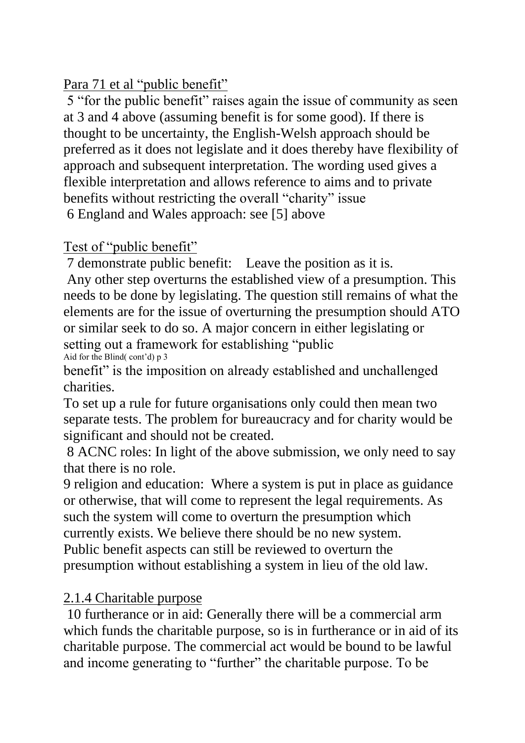# Para 71 et al "public benefit"

5 "for the public benefit" raises again the issue of community as seen at 3 and 4 above (assuming benefit is for some good). If there is thought to be uncertainty, the English-Welsh approach should be preferred as it does not legislate and it does thereby have flexibility of approach and subsequent interpretation. The wording used gives a flexible interpretation and allows reference to aims and to private benefits without restricting the overall "charity" issue 6 England and Wales approach: see [5] above

## Test of "public benefit"

7 demonstrate public benefit: Leave the position as it is.

Any other step overturns the established view of a presumption. This needs to be done by legislating. The question still remains of what the elements are for the issue of overturning the presumption should ATO or similar seek to do so. A major concern in either legislating or setting out a framework for establishing "public Aid for the Blind( $cont<sup>2</sup>$ d) p 3

benefit" is the imposition on already established and unchallenged charities.

To set up a rule for future organisations only could then mean two separate tests. The problem for bureaucracy and for charity would be significant and should not be created.

8 ACNC roles: In light of the above submission, we only need to say that there is no role.

9 religion and education: Where a system is put in place as guidance or otherwise, that will come to represent the legal requirements. As such the system will come to overturn the presumption which currently exists. We believe there should be no new system. Public benefit aspects can still be reviewed to overturn the presumption without establishing a system in lieu of the old law.

### 2.1.4 Charitable purpose

10 furtherance or in aid: Generally there will be a commercial arm which funds the charitable purpose, so is in furtherance or in aid of its charitable purpose. The commercial act would be bound to be lawful and income generating to "further" the charitable purpose. To be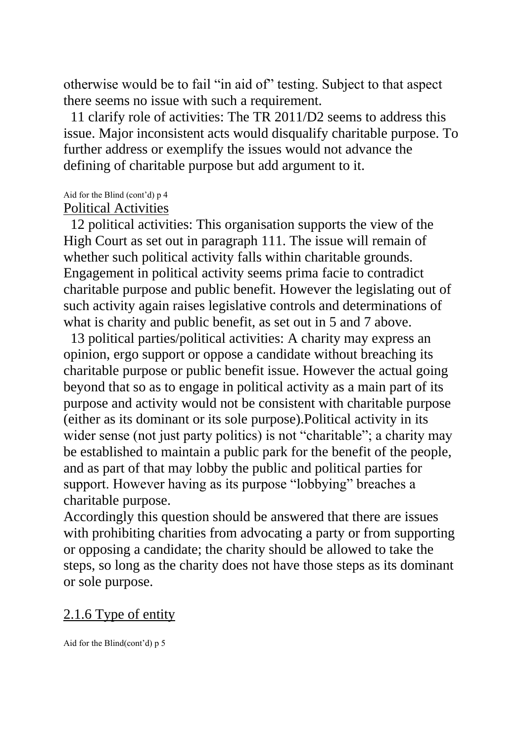otherwise would be to fail "in aid of" testing. Subject to that aspect there seems no issue with such a requirement.

 11 clarify role of activities: The TR 2011/D2 seems to address this issue. Major inconsistent acts would disqualify charitable purpose. To further address or exemplify the issues would not advance the defining of charitable purpose but add argument to it.

#### Aid for the Blind (cont'd) p 4

### Political Activities

 12 political activities: This organisation supports the view of the High Court as set out in paragraph 111. The issue will remain of whether such political activity falls within charitable grounds. Engagement in political activity seems prima facie to contradict charitable purpose and public benefit. However the legislating out of such activity again raises legislative controls and determinations of what is charity and public benefit, as set out in 5 and 7 above.

 13 political parties/political activities: A charity may express an opinion, ergo support or oppose a candidate without breaching its charitable purpose or public benefit issue. However the actual going beyond that so as to engage in political activity as a main part of its purpose and activity would not be consistent with charitable purpose (either as its dominant or its sole purpose).Political activity in its wider sense (not just party politics) is not "charitable"; a charity may be established to maintain a public park for the benefit of the people, and as part of that may lobby the public and political parties for support. However having as its purpose "lobbying" breaches a charitable purpose.

Accordingly this question should be answered that there are issues with prohibiting charities from advocating a party or from supporting or opposing a candidate; the charity should be allowed to take the steps, so long as the charity does not have those steps as its dominant or sole purpose.

### 2.1.6 Type of entity

Aid for the Blind(cont'd) p 5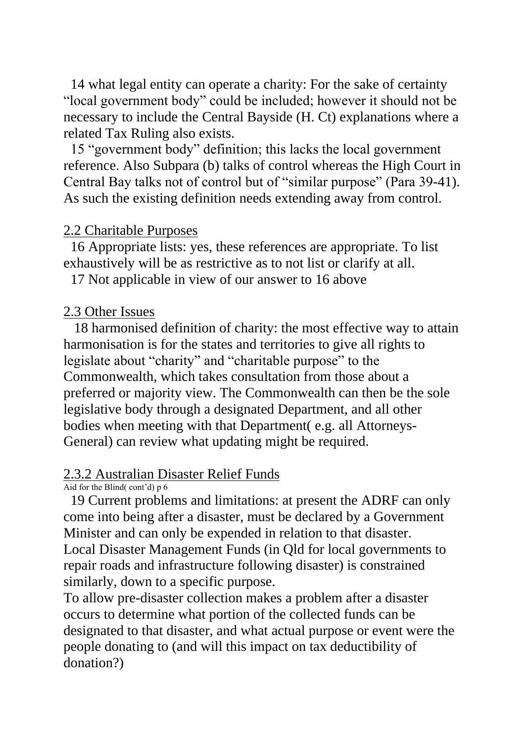14 what legal entity can operate a charity: For the sake of certainty "local government body" could be included; however it should not be necessary to include the Central Bayside (H. Ct) explanations where a related Tax Ruling also exists.

 15 "government body" definition; this lacks the local government reference. Also Subpara (b) talks of control whereas the High Court in Central Bay talks not of control but of "similar purpose" (Para 39-41). As such the existing definition needs extending away from control.

#### 2.2 Charitable Purposes

 16 Appropriate lists: yes, these references are appropriate. To list exhaustively will be as restrictive as to not list or clarify at all.

17 Not applicable in view of our answer to 16 above

### 2.3 Other Issues

 18 harmonised definition of charity: the most effective way to attain harmonisation is for the states and territories to give all rights to legislate about "charity" and "charitable purpose" to the Commonwealth, which takes consultation from those about a preferred or majority view. The Commonwealth can then be the sole legislative body through a designated Department, and all other bodies when meeting with that Department( e.g. all Attorneys-General) can review what updating might be required.

### 2.3.2 Australian Disaster Relief Funds

Aid for the Blind( cont'd) p 6

 19 Current problems and limitations: at present the ADRF can only come into being after a disaster, must be declared by a Government Minister and can only be expended in relation to that disaster. Local Disaster Management Funds (in Qld for local governments to repair roads and infrastructure following disaster) is constrained similarly, down to a specific purpose.

To allow pre-disaster collection makes a problem after a disaster occurs to determine what portion of the collected funds can be designated to that disaster, and what actual purpose or event were the people donating to (and will this impact on tax deductibility of donation?)